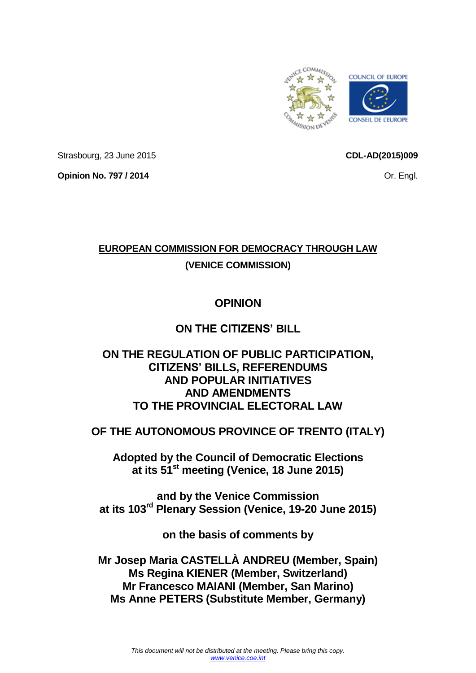

Strasbourg, 23 June 2015

**CDL-AD(2015)009**

**Opinion No. 797 / 2014**

Or. Engl.

# **EUROPEAN COMMISSION FOR DEMOCRACY THROUGH LAW**

## **(VENICE COMMISSION)**

## **OPINION**

## **ON THE CITIZENS' BILL**

## **ON THE REGULATION OF PUBLIC PARTICIPATION, CITIZENS' BILLS, REFERENDUMS AND POPULAR INITIATIVES AND AMENDMENTS TO THE PROVINCIAL ELECTORAL LAW**

## **OF THE AUTONOMOUS PROVINCE OF TRENTO (ITALY)**

**Adopted by the Council of Democratic Elections at its 51st meeting (Venice, 18 June 2015)**

**and by the Venice Commission at its 103rd Plenary Session (Venice, 19-20 June 2015)**

**on the basis of comments by**

**Mr Josep Maria CASTELLÀ ANDREU (Member, Spain) Ms Regina KIENER (Member, Switzerland) Mr Francesco MAIANI (Member, San Marino) Ms Anne PETERS (Substitute Member, Germany)**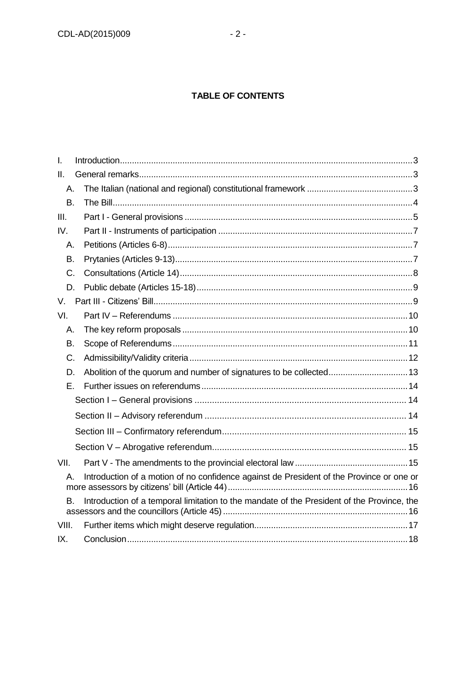## **TABLE OF CONTENTS**

| I.        |                                                                                                |  |  |
|-----------|------------------------------------------------------------------------------------------------|--|--|
| II.       |                                                                                                |  |  |
| А.        |                                                                                                |  |  |
| <b>B.</b> |                                                                                                |  |  |
| III.      |                                                                                                |  |  |
| IV.       |                                                                                                |  |  |
| Α.        |                                                                                                |  |  |
| В.        |                                                                                                |  |  |
| C.        |                                                                                                |  |  |
| D.        |                                                                                                |  |  |
| V.        |                                                                                                |  |  |
| VI.       |                                                                                                |  |  |
| А.        |                                                                                                |  |  |
| В.        |                                                                                                |  |  |
| C.        |                                                                                                |  |  |
| D.        |                                                                                                |  |  |
| Е.        |                                                                                                |  |  |
|           |                                                                                                |  |  |
|           |                                                                                                |  |  |
|           |                                                                                                |  |  |
|           |                                                                                                |  |  |
| VII.      |                                                                                                |  |  |
|           | Introduction of a motion of no confidence against de President of the Province or one or<br>А. |  |  |
| B.        | Introduction of a temporal limitation to the mandate of the President of the Province, the     |  |  |
| VIII.     |                                                                                                |  |  |
| IX.       |                                                                                                |  |  |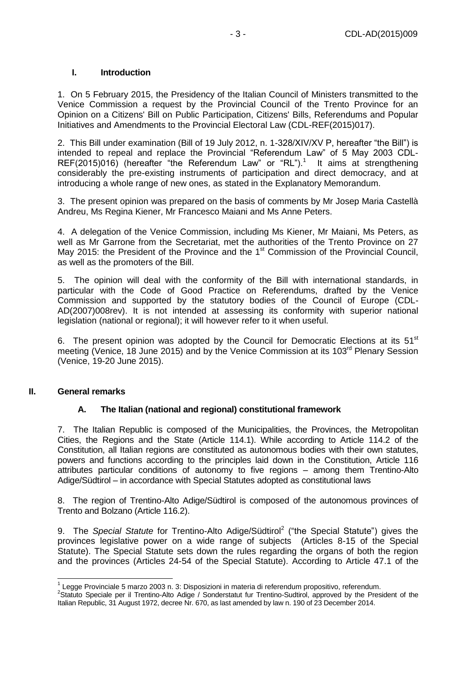## <span id="page-2-0"></span>**I. Introduction**

1. On 5 February 2015, the Presidency of the Italian Council of Ministers transmitted to the Venice Commission a request by the Provincial Council of the Trento Province for an Opinion on a Citizens' Bill on Public Participation, Citizens' Bills, Referendums and Popular Initiatives and Amendments to the Provincial Electoral Law (CDL-REF(2015)017).

2. This Bill under examination (Bill of 19 July 2012, n. 1-328/XIV/XV P, hereafter "the Bill") is intended to repeal and replace the Provincial "Referendum Law" of 5 May 2003 CDL- $REF(2015)016)$  (hereafter "the Referendum Law" or "RL").<sup>1</sup> It aims at strengthening considerably the pre-existing instruments of participation and direct democracy, and at introducing a whole range of new ones, as stated in the Explanatory Memorandum.

3. The present opinion was prepared on the basis of comments by Mr Josep Maria Castellà Andreu, Ms Regina Kiener, Mr Francesco Maiani and Ms Anne Peters.

4. A delegation of the Venice Commission, including Ms Kiener, Mr Maiani, Ms Peters, as well as Mr Garrone from the Secretariat, met the authorities of the Trento Province on 27 May 2015: the President of the Province and the 1<sup>st</sup> Commission of the Provincial Council, as well as the promoters of the Bill.

5. The opinion will deal with the conformity of the Bill with international standards, in particular with the Code of Good Practice on Referendums, drafted by the Venice Commission and supported by the statutory bodies of the Council of Europe (CDL-AD(2007)008rev). It is not intended at assessing its conformity with superior national legislation (national or regional); it will however refer to it when useful.

6. The present opinion was adopted by the Council for Democratic Elections at its  $51<sup>st</sup>$ meeting (Venice, 18 June 2015) and by the Venice Commission at its 103rd Plenary Session (Venice, 19-20 June 2015).

#### <span id="page-2-1"></span>**II. General remarks**

## <span id="page-2-2"></span>**A. The Italian (national and regional) constitutional framework**

7. The Italian Republic is composed of the Municipalities, the Provinces, the Metropolitan Cities, the Regions and the State (Article 114.1). While according to Article 114.2 of the Constitution, all Italian regions are constituted as autonomous bodies with their own statutes, powers and functions according to the principles laid down in the Constitution, Article 116 attributes particular conditions of autonomy to five regions – among them Trentino-Alto Adige/Südtirol – in accordance with Special Statutes adopted as constitutional laws

8. The region of Trentino-Alto Adige/Südtirol is composed of the autonomous provinces of Trento and Bolzano (Article 116.2).

9. The Special Statute for Trentino-Alto Adige/Südtirol<sup>2</sup> ("the Special Statute") gives the provinces legislative power on a wide range of subjects (Articles 8-15 of the Special Statute). The Special Statute sets down the rules regarding the organs of both the region and the provinces (Articles 24-54 of the Special Statute). According to Article 47.1 of the

 1 Legge Provinciale 5 marzo 2003 n. 3: Disposizioni in materia di referendum propositivo, referendum.

<sup>&</sup>lt;sup>2</sup>Statuto Speciale per il Trentino-Alto Adige / Sonderstatut fur Trentino-Sudtirol, approved by the President of the Italian Republic, 31 August 1972, decree Nr. 670, as last amended by law n. 190 of 23 December 2014.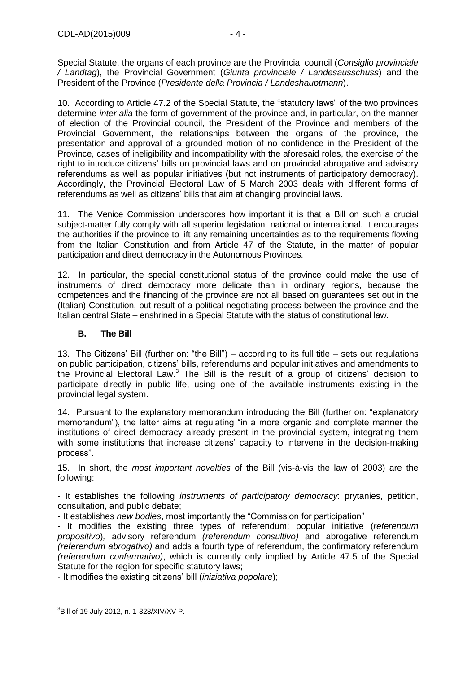Special Statute, the organs of each province are the Provincial council (*Consiglio provinciale / Landtag*), the Provincial Government (*Giunta provinciale / Landesausschuss*) and the President of the Province (*Presidente della Provincia / Landeshauptmann*).

10. According to Article 47.2 of the Special Statute, the "statutory laws" of the two provinces determine *inter alia* the form of government of the province and, in particular, on the manner of election of the Provincial council, the President of the Province and members of the Provincial Government, the relationships between the organs of the province, the presentation and approval of a grounded motion of no confidence in the President of the Province, cases of ineligibility and incompatibility with the aforesaid roles, the exercise of the right to introduce citizens' bills on provincial laws and on provincial abrogative and advisory referendums as well as popular initiatives (but not instruments of participatory democracy). Accordingly, the Provincial Electoral Law of 5 March 2003 deals with different forms of referendums as well as citizens' bills that aim at changing provincial laws.

11. The Venice Commission underscores how important it is that a Bill on such a crucial subject-matter fully comply with all superior legislation, national or international. It encourages the authorities if the province to lift any remaining uncertainties as to the requirements flowing from the Italian Constitution and from Article 47 of the Statute, in the matter of popular participation and direct democracy in the Autonomous Provinces.

12. In particular, the special constitutional status of the province could make the use of instruments of direct democracy more delicate than in ordinary regions, because the competences and the financing of the province are not all based on guarantees set out in the (Italian) Constitution, but result of a political negotiating process between the province and the Italian central State – enshrined in a Special Statute with the status of constitutional law.

## <span id="page-3-0"></span>**B. The Bill**

13. The Citizens' Bill (further on: "the Bill") – according to its full title – sets out regulations on public participation, citizens' bills, referendums and popular initiatives and amendments to the Provincial Electoral Law. $3$  The Bill is the result of a group of citizens' decision to participate directly in public life, using one of the available instruments existing in the provincial legal system.

14. Pursuant to the explanatory memorandum introducing the Bill (further on: "explanatory memorandum"), the latter aims at regulating "in a more organic and complete manner the institutions of direct democracy already present in the provincial system, integrating them with some institutions that increase citizens' capacity to intervene in the decision-making process".

15. In short, the *most important novelties* of the Bill (vis-à-vis the law of 2003) are the following:

- It establishes the following *instruments of participatory democracy*: prytanies, petition, consultation, and public debate;

- It establishes *new bodies*, most importantly the "Commission for participation"

- It modifies the existing three types of referendum: popular initiative (*referendum propositivo*)*,* advisory referendum *(referendum consultivo)* and abrogative referendum *(referendum abrogativo)* and adds a fourth type of referendum, the confirmatory referendum *(referendum confermativo)*, which is currently only implied by Article 47.5 of the Special Statute for the region for specific statutory laws;

- It modifies the existing citizens' bill (*iniziativa popolare*);

 3 Bill of 19 July 2012, n. 1-328/XIV/XV P.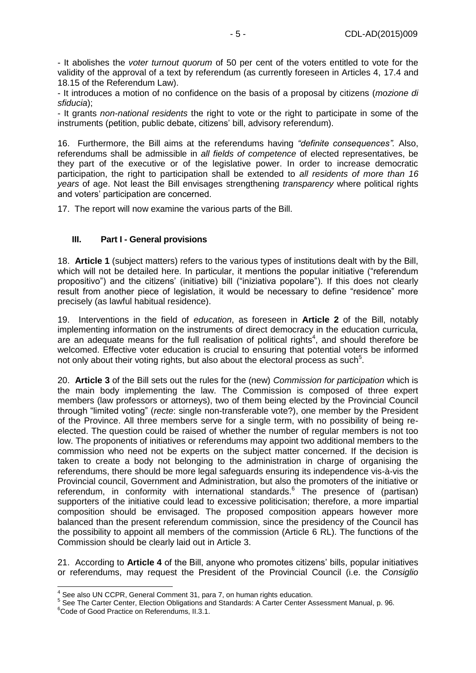- It abolishes the *voter turnout quorum* of 50 per cent of the voters entitled to vote for the validity of the approval of a text by referendum (as currently foreseen in Articles 4, 17.4 and 18.15 of the Referendum Law).

- It introduces a motion of no confidence on the basis of a proposal by citizens (*mozione di sfiducia*);

- It grants *non-national residents* the right to vote or the right to participate in some of the instruments (petition, public debate, citizens' bill, advisory referendum).

16. Furthermore, the Bill aims at the referendums having *"definite consequences".* Also, referendums shall be admissible in *all fields of competence* of elected representatives, be they part of the executive or of the legislative power. In order to increase democratic participation, the right to participation shall be extended to *all residents of more than 16 years* of age. Not least the Bill envisages strengthening *transparency* where political rights and voters' participation are concerned.

17. The report will now examine the various parts of the Bill.

## <span id="page-4-0"></span>**III. Part I - General provisions**

18. **Article 1** (subject matters) refers to the various types of institutions dealt with by the Bill, which will not be detailed here. In particular, it mentions the popular initiative ("referendum propositivo") and the citizens' (initiative) bill ("iniziativa popolare"). If this does not clearly result from another piece of legislation, it would be necessary to define "residence" more precisely (as lawful habitual residence).

19. Interventions in the field of *education*, as foreseen in **Article 2** of the Bill, notably implementing information on the instruments of direct democracy in the education curricula, are an adequate means for the full realisation of political rights<sup>4</sup>, and should therefore be welcomed. Effective voter education is crucial to ensuring that potential voters be informed not only about their voting rights, but also about the electoral process as such $5$ .

20. **Article 3** of the Bill sets out the rules for the (new) *Commission for participation* which is the main body implementing the law. The Commission is composed of three expert members (law professors or attorneys), two of them being elected by the Provincial Council through "limited voting" (*recte*: single non-transferable vote?), one member by the President of the Province. All three members serve for a single term, with no possibility of being reelected. The question could be raised of whether the number of regular members is not too low. The proponents of initiatives or referendums may appoint two additional members to the commission who need not be experts on the subject matter concerned. If the decision is taken to create a body not belonging to the administration in charge of organising the referendums, there should be more legal safeguards ensuring its independence vis-à-vis the Provincial council, Government and Administration, but also the promoters of the initiative or referendum, in conformity with international standards.<sup>6</sup> The presence of (partisan) supporters of the initiative could lead to excessive politicisation; therefore, a more impartial composition should be envisaged. The proposed composition appears however more balanced than the present referendum commission, since the presidency of the Council has the possibility to appoint all members of the commission (Article 6 RL). The functions of the Commission should be clearly laid out in Article 3.

21. According to **Article 4** of the Bill, anyone who promotes citizens' bills, popular initiatives or referendums, may request the President of the Provincial Council (i.e. the *Consiglio* 

 4 See also UN CCPR, General Comment 31, para 7, on human rights education.

<sup>5</sup> See The Carter Center, Election Obligations and Standards: A Carter Center Assessment Manual, p. 96.

<sup>&</sup>lt;sup>6</sup>Code of Good Practice on Referendums, II.3.1.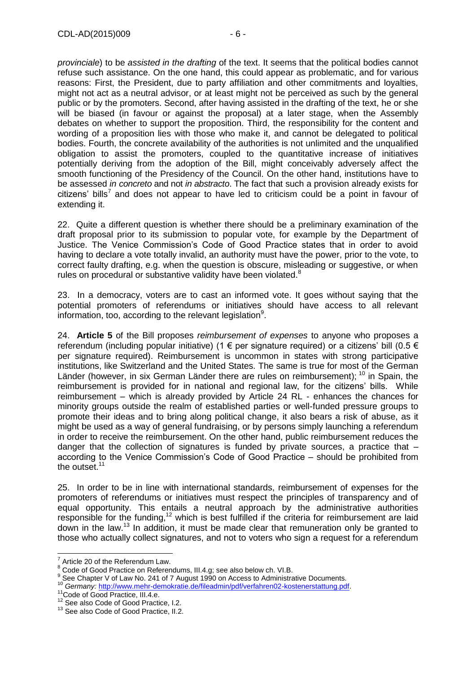*provinciale*) to be *assisted in the drafting* of the text. It seems that the political bodies cannot refuse such assistance. On the one hand, this could appear as problematic, and for various reasons: First, the President, due to party affiliation and other commitments and loyalties, might not act as a neutral advisor, or at least might not be perceived as such by the general public or by the promoters. Second, after having assisted in the drafting of the text, he or she will be biased (in favour or against the proposal) at a later stage, when the Assembly debates on whether to support the proposition. Third, the responsibility for the content and wording of a proposition lies with those who make it, and cannot be delegated to political bodies. Fourth, the concrete availability of the authorities is not unlimited and the unqualified obligation to assist the promoters, coupled to the quantitative increase of initiatives potentially deriving from the adoption of the Bill, might conceivably adversely affect the smooth functioning of the Presidency of the Council. On the other hand, institutions have to be assessed *in concreto* and not *in abstracto*. The fact that such a provision already exists for citizens' bills<sup>7</sup> and does not appear to have led to criticism could be a point in favour of extending it.

22. Quite a different question is whether there should be a preliminary examination of the draft proposal prior to its submission to popular vote, for example by the Department of Justice. The Venice Commission's Code of Good Practice states that in order to avoid having to declare a vote totally invalid, an authority must have the power, prior to the vote, to correct faulty drafting, e.g. when the question is obscure, misleading or suggestive, or when rules on procedural or substantive validity have been violated.<sup>8</sup>

23. In a democracy, voters are to cast an informed vote. It goes without saying that the potential promoters of referendums or initiatives should have access to all relevant information, too, according to the relevant legislation<sup>9</sup>.

24. **Article 5** of the Bill proposes *reimbursement of expenses* to anyone who proposes a referendum (including popular initiative) (1  $\epsilon$  per signature required) or a citizens' bill (0.5  $\epsilon$ per signature required). Reimbursement is uncommon in states with strong participative institutions, like Switzerland and the United States. The same is true for most of the German Länder (however, in six German Länder there are rules on reimbursement); <sup>10</sup> in Spain, the reimbursement is provided for in national and regional law, for the citizens' bills. While reimbursement – which is already provided by Article 24 RL - enhances the chances for minority groups outside the realm of established parties or well-funded pressure groups to promote their ideas and to bring along political change, it also bears a risk of abuse, as it might be used as a way of general fundraising, or by persons simply launching a referendum in order to receive the reimbursement. On the other hand, public reimbursement reduces the danger that the collection of signatures is funded by private sources, a practice that – according to the Venice Commission's Code of Good Practice – should be prohibited from the outset.<sup>11</sup>

25. In order to be in line with international standards, reimbursement of expenses for the promoters of referendums or initiatives must respect the principles of transparency and of equal opportunity. This entails a neutral approach by the administrative authorities responsible for the funding,<sup>12</sup> which is best fulfilled if the criteria for reimbursement are laid down in the law.<sup>13</sup> In addition, it must be made clear that remuneration only be granted to those who actually collect signatures, and not to voters who sign a request for a referendum

 $\overline{a}$ 

 $7$  Article 20 of the Referendum Law.

<sup>8</sup> Code of Good Practice on Referendums, III.4.g; see also below ch. VI.B.

<sup>&</sup>lt;sup>9</sup> See Chapter V of Law No. 241 of 7 August 1990 on Access to Administrative Documents.

<sup>10</sup> *Germany:* [http://www.mehr-demokratie.de/fileadmin/pdf/verfahren02-kostenerstattung.pdf.](http://www.mehr-demokratie.de/fileadmin/pdf/verfahren02-kostenerstattung.pdf)

<sup>&</sup>lt;sup>11</sup>Code of Good Practice, III.4.e.

<sup>&</sup>lt;sup>12</sup> See also Code of Good Practice, I.2.

<sup>&</sup>lt;sup>13</sup> See also Code of Good Practice, II.2.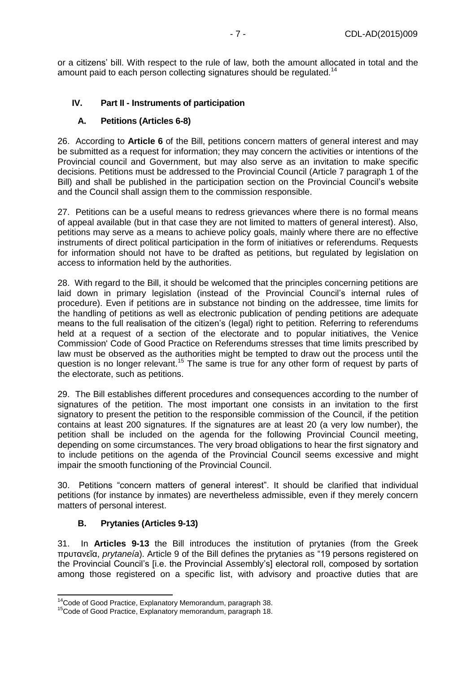or a citizens' bill. With respect to the rule of law, both the amount allocated in total and the amount paid to each person collecting signatures should be regulated.<sup>14</sup>

## <span id="page-6-1"></span><span id="page-6-0"></span>**IV. Part II - Instruments of participation**

## **A. Petitions (Articles 6-8)**

26. According to **Article 6** of the Bill, petitions concern matters of general interest and may be submitted as a request for information; they may concern the activities or intentions of the Provincial council and Government, but may also serve as an invitation to make specific decisions. Petitions must be addressed to the Provincial Council (Article 7 paragraph 1 of the Bill) and shall be published in the participation section on the Provincial Council's website and the Council shall assign them to the commission responsible.

27. Petitions can be a useful means to redress grievances where there is no formal means of appeal available (but in that case they are not limited to matters of general interest). Also, petitions may serve as a means to achieve policy goals, mainly where there are no effective instruments of direct political participation in the form of initiatives or referendums. Requests for information should not have to be drafted as petitions, but regulated by legislation on access to information held by the authorities.

28. With regard to the Bill, it should be welcomed that the principles concerning petitions are laid down in primary legislation (instead of the Provincial Council's internal rules of procedure). Even if petitions are in substance not binding on the addressee, time limits for the handling of petitions as well as electronic publication of pending petitions are adequate means to the full realisation of the citizen's (legal) right to petition. Referring to referendums held at a request of a section of the electorate and to popular initiatives, the Venice Commission' Code of Good Practice on Referendums stresses that time limits prescribed by law must be observed as the authorities might be tempted to draw out the process until the question is no longer relevant.<sup>15</sup> The same is true for any other form of request by parts of the electorate, such as petitions.

29. The Bill establishes different procedures and consequences according to the number of signatures of the petition. The most important one consists in an invitation to the first signatory to present the petition to the responsible commission of the Council, if the petition contains at least 200 signatures. If the signatures are at least 20 (a very low number), the petition shall be included on the agenda for the following Provincial Council meeting, depending on some circumstances. The very broad obligations to hear the first signatory and to include petitions on the agenda of the Provincial Council seems excessive and might impair the smooth functioning of the Provincial Council.

30. Petitions "concern matters of general interest". It should be clarified that individual petitions (for instance by inmates) are nevertheless admissible, even if they merely concern matters of personal interest.

## **B. Prytanies (Articles 9-13)**

 $\overline{a}$ 

<span id="page-6-2"></span>31. In **Articles 9-13** the Bill introduces the institution of prytanies (from the Greek πρυτανεῖα, *prytaneía*). Article 9 of the Bill defines the prytanies as "19 persons registered on the Provincial Council's [i.e. the Provincial Assembly's] electoral roll, composed by sortation among those registered on a specific list, with advisory and proactive duties that are

<sup>&</sup>lt;sup>14</sup>Code of Good Practice, Explanatory Memorandum, paragraph 38.

<sup>&</sup>lt;sup>15</sup>Code of Good Practice, Explanatory memorandum, paragraph 18.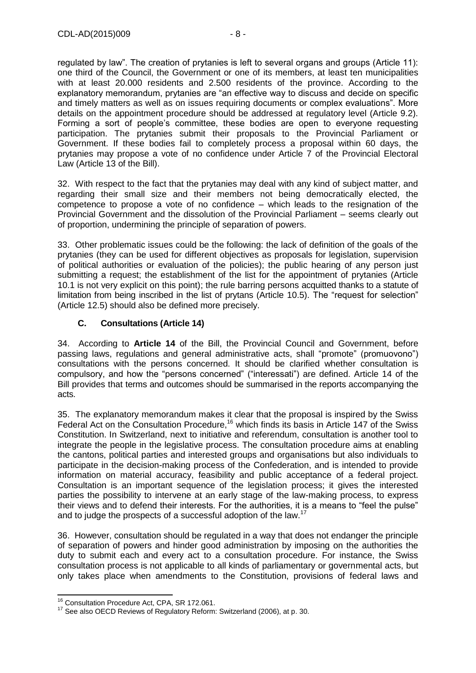regulated by law". The creation of prytanies is left to several organs and groups (Article 11): one third of the Council, the Government or one of its members, at least ten municipalities with at least 20.000 residents and 2.500 residents of the province. According to the explanatory memorandum, prytanies are "an effective way to discuss and decide on specific and timely matters as well as on issues requiring documents or complex evaluations". More details on the appointment procedure should be addressed at regulatory level (Article 9.2). Forming a sort of people's committee, these bodies are open to everyone requesting participation. The prytanies submit their proposals to the Provincial Parliament or Government. If these bodies fail to completely process a proposal within 60 days, the prytanies may propose a vote of no confidence under Article 7 of the Provincial Electoral Law (Article 13 of the Bill).

32. With respect to the fact that the prytanies may deal with any kind of subject matter, and regarding their small size and their members not being democratically elected, the competence to propose a vote of no confidence – which leads to the resignation of the Provincial Government and the dissolution of the Provincial Parliament – seems clearly out of proportion, undermining the principle of separation of powers.

33. Other problematic issues could be the following: the lack of definition of the goals of the prytanies (they can be used for different objectives as proposals for legislation, supervision of political authorities or evaluation of the policies); the public hearing of any person just submitting a request; the establishment of the list for the appointment of prytanies (Article 10.1 is not very explicit on this point); the rule barring persons acquitted thanks to a statute of limitation from being inscribed in the list of prytans (Article 10.5). The "request for selection" (Article 12.5) should also be defined more precisely.

## <span id="page-7-0"></span>**C. Consultations (Article 14)**

34. According to **Article 14** of the Bill, the Provincial Council and Government, before passing laws, regulations and general administrative acts, shall "promote" (promuovono") consultations with the persons concerned. It should be clarified whether consultation is compulsory, and how the "persons concerned" ("interessati") are defined. Article 14 of the Bill provides that terms and outcomes should be summarised in the reports accompanying the acts.

35. The explanatory memorandum makes it clear that the proposal is inspired by the Swiss Federal Act on the Consultation Procedure,<sup>16</sup> which finds its basis in Article 147 of the Swiss Constitution. In Switzerland, next to initiative and referendum, consultation is another tool to integrate the people in the legislative process. The consultation procedure aims at enabling the cantons, political parties and interested groups and organisations but also individuals to participate in the decision-making process of the Confederation, and is intended to provide information on material accuracy, feasibility and public acceptance of a federal project. Consultation is an important sequence of the legislation process; it gives the interested parties the possibility to intervene at an early stage of the law-making process, to express their views and to defend their interests. For the authorities, it is a means to "feel the pulse" and to judge the prospects of a successful adoption of the law.<sup>17</sup>

36. However, consultation should be regulated in a way that does not endanger the principle of separation of powers and hinder good administration by imposing on the authorities the duty to submit each and every act to a consultation procedure. For instance, the Swiss consultation process is not applicable to all kinds of parliamentary or governmental acts, but only takes place when amendments to the Constitution, provisions of federal laws and

 $\overline{a}$ <sup>16</sup> Consultation Procedure Act, CPA, SR 172.061.

<sup>&</sup>lt;sup>17</sup> See also OECD Reviews of Regulatory Reform: Switzerland (2006), at p. 30.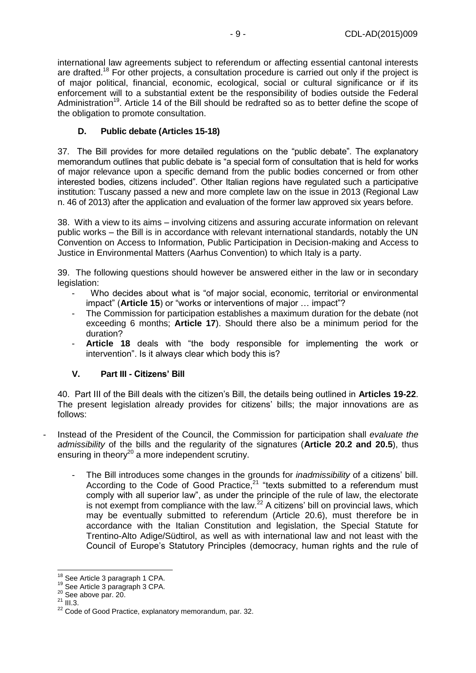international law agreements subject to referendum or affecting essential cantonal interests are drafted.<sup>18</sup> For other projects, a consultation procedure is carried out only if the project is of major political, financial, economic, ecological, social or cultural significance or if its enforcement will to a substantial extent be the responsibility of bodies outside the Federal Administration<sup>19</sup>. Article 14 of the Bill should be redrafted so as to better define the scope of the obligation to promote consultation.

## <span id="page-8-0"></span>**D. Public debate (Articles 15-18)**

37. The Bill provides for more detailed regulations on the "public debate". The explanatory memorandum outlines that public debate is "a special form of consultation that is held for works of major relevance upon a specific demand from the public bodies concerned or from other interested bodies, citizens included". Other Italian regions have regulated such a participative institution: Tuscany passed a new and more complete law on the issue in 2013 (Regional Law n. 46 of 2013) after the application and evaluation of the former law approved six years before.

38. With a view to its aims – involving citizens and assuring accurate information on relevant public works – the Bill is in accordance with relevant international standards, notably the UN Convention on Access to Information, Public Participation in Decision-making and Access to Justice in Environmental Matters (Aarhus Convention) to which Italy is a party.

39. The following questions should however be answered either in the law or in secondary legislation:

- Who decides about what is "of major social, economic, territorial or environmental impact" (**Article 15**) or "works or interventions of major … impact"?
- The Commission for participation establishes a maximum duration for the debate (not exceeding 6 months; **Article 17**). Should there also be a minimum period for the duration?
- Article 18 deals with "the body responsible for implementing the work or intervention". Is it always clear which body this is?

## <span id="page-8-1"></span>**V. Part III - Citizens' Bill**

40. Part III of the Bill deals with the citizen's Bill, the details being outlined in **Articles 19-22**. The present legislation already provides for citizens' bills; the major innovations are as follows:

- Instead of the President of the Council, the Commission for participation shall *evaluate the admissibility* of the bills and the regularity of the signatures (**Article 20.2 and 20.5**), thus ensuring in theory<sup>20</sup> a more independent scrutiny.
	- The Bill introduces some changes in the grounds for *inadmissibility* of a citizens' bill. According to the Code of Good Practice, $21$  "texts submitted to a referendum must comply with all superior law", as under the principle of the rule of law, the electorate is not exempt from compliance with the law. $^{22}$  A citizens' bill on provincial laws, which may be eventually submitted to referendum (Article 20.6), must therefore be in accordance with the Italian Constitution and legislation, the Special Statute for Trentino-Alto Adige/Südtirol, as well as with international law and not least with the Council of Europe's Statutory Principles (democracy, human rights and the rule of

 $\overline{1}$  $^{18}$  See Article 3 paragraph 1 CPA.

<sup>19</sup> See Article 3 paragraph 3 CPA.

<sup>20</sup> See above par. 20.

 $^{21}$  III.3.

<sup>&</sup>lt;sup>22</sup> Code of Good Practice, explanatory memorandum, par. 32.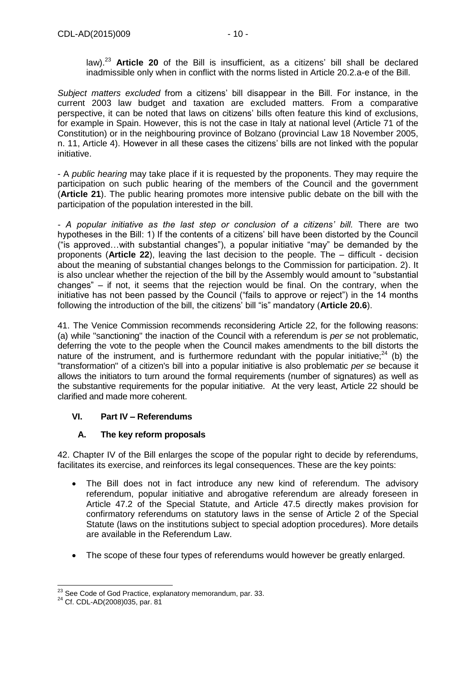law).<sup>23</sup> **Article 20** of the Bill is insufficient, as a citizens' bill shall be declared inadmissible only when in conflict with the norms listed in Article 20.2.a-e of the Bill.

*Subject matters excluded* from a citizens' bill disappear in the Bill. For instance, in the current 2003 law budget and taxation are excluded matters. From a comparative perspective, it can be noted that laws on citizens' bills often feature this kind of exclusions, for example in Spain. However, this is not the case in Italy at national level (Article 71 of the Constitution) or in the neighbouring province of Bolzano (provincial Law 18 November 2005, n. 11, Article 4). However in all these cases the citizens' bills are not linked with the popular initiative.

- A *public hearing* may take place if it is requested by the proponents. They may require the participation on such public hearing of the members of the Council and the government (**Article 21**). The public hearing promotes more intensive public debate on the bill with the participation of the population interested in the bill.

*- A popular initiative as the last step or conclusion of a citizens' bill.* There are two hypotheses in the Bill: 1) If the contents of a citizens' bill have been distorted by the Council ("is approved…with substantial changes"), a popular initiative "may" be demanded by the proponents (**Article 22**), leaving the last decision to the people. The – difficult - decision about the meaning of substantial changes belongs to the Commission for participation. 2). It is also unclear whether the rejection of the bill by the Assembly would amount to "substantial changes"  $-$  if not, it seems that the rejection would be final. On the contrary, when the initiative has not been passed by the Council ("fails to approve or reject") in the 14 months following the introduction of the bill, the citizens' bill "is" mandatory (**Article 20.6**).

41. The Venice Commission recommends reconsidering Article 22, for the following reasons: (a) while "sanctioning" the inaction of the Council with a referendum is *per se* not problematic, deferring the vote to the people when the Council makes amendments to the bill distorts the nature of the instrument, and is furthermore redundant with the popular initiative; $24$  (b) the "transformation" of a citizen's bill into a popular initiative is also problematic *per se* because it allows the initiators to turn around the formal requirements (number of signatures) as well as the substantive requirements for the popular initiative. At the very least, Article 22 should be clarified and made more coherent.

## <span id="page-9-1"></span><span id="page-9-0"></span>**VI. Part IV – Referendums**

## **A. The key reform proposals**

42. Chapter IV of the Bill enlarges the scope of the popular right to decide by referendums, facilitates its exercise, and reinforces its legal consequences. These are the key points:

- The Bill does not in fact introduce any new kind of referendum. The advisory referendum, popular initiative and abrogative referendum are already foreseen in Article 47.2 of the Special Statute, and Article 47.5 directly makes provision for confirmatory referendums on statutory laws in the sense of Article 2 of the Special Statute (laws on the institutions subject to special adoption procedures). More details are available in the Referendum Law.
- The scope of these four types of referendums would however be greatly enlarged.

 $\overline{a}$  $^{23}$  See Code of God Practice, explanatory memorandum, par. 33.

<sup>24</sup> Cf. CDL-AD(2008)035, par. 81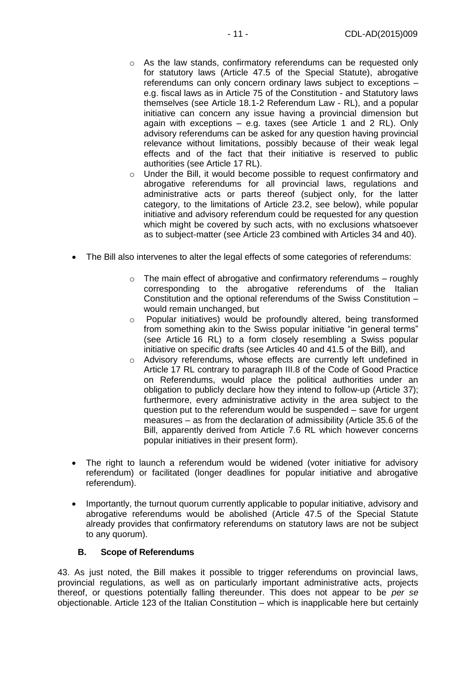- $\circ$  As the law stands, confirmatory referendums can be requested only for statutory laws (Article 47.5 of the Special Statute), abrogative referendums can only concern ordinary laws subject to exceptions – e.g. fiscal laws as in Article 75 of the Constitution - and Statutory laws themselves (see Article 18.1-2 Referendum Law - RL), and a popular initiative can concern any issue having a provincial dimension but again with exceptions – e.g. taxes (see Article 1 and 2 RL). Only advisory referendums can be asked for any question having provincial relevance without limitations, possibly because of their weak legal effects and of the fact that their initiative is reserved to public authorities (see Article 17 RL).
- o Under the Bill, it would become possible to request confirmatory and abrogative referendums for all provincial laws, regulations and administrative acts or parts thereof (subject only, for the latter category, to the limitations of Article 23.2, see below), while popular initiative and advisory referendum could be requested for any question which might be covered by such acts, with no exclusions whatsoever as to subject-matter (see Article 23 combined with Articles 34 and 40).
- The Bill also intervenes to alter the legal effects of some categories of referendums:
	- $\circ$  The main effect of abrogative and confirmatory referendums roughly corresponding to the abrogative referendums of the Italian Constitution and the optional referendums of the Swiss Constitution – would remain unchanged, but
	- o Popular initiatives) would be profoundly altered, being transformed from something akin to the Swiss popular initiative "in general terms" (see Article 16 RL) to a form closely resembling a Swiss popular initiative on specific drafts (see Articles 40 and 41.5 of the Bill), and
	- o Advisory referendums, whose effects are currently left undefined in Article 17 RL contrary to paragraph III.8 of the Code of Good Practice on Referendums, would place the political authorities under an obligation to publicly declare how they intend to follow-up (Article 37); furthermore, every administrative activity in the area subject to the question put to the referendum would be suspended – save for urgent measures – as from the declaration of admissibility (Article 35.6 of the Bill, apparently derived from Article 7.6 RL which however concerns popular initiatives in their present form).
- The right to launch a referendum would be widened (voter initiative for advisory referendum) or facilitated (longer deadlines for popular initiative and abrogative referendum).
- Importantly, the turnout quorum currently applicable to popular initiative, advisory and abrogative referendums would be abolished (Article 47.5 of the Special Statute already provides that confirmatory referendums on statutory laws are not be subject to any quorum).

## <span id="page-10-0"></span>**B. Scope of Referendums**

43. As just noted, the Bill makes it possible to trigger referendums on provincial laws, provincial regulations, as well as on particularly important administrative acts, projects thereof, or questions potentially falling thereunder. This does not appear to be *per se*  objectionable. Article 123 of the Italian Constitution – which is inapplicable here but certainly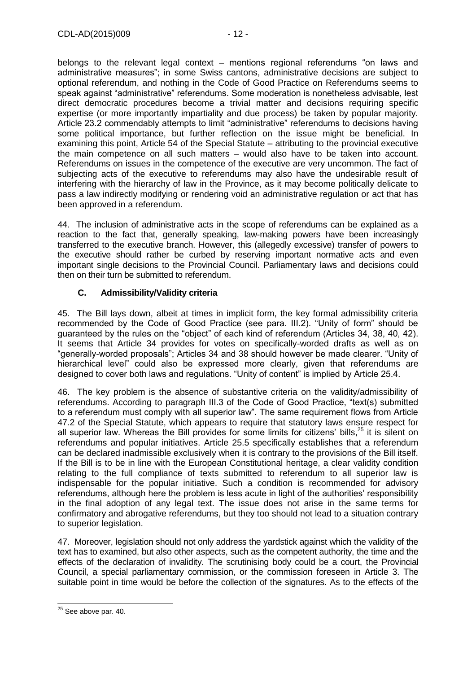belongs to the relevant legal context – mentions regional referendums "on laws and administrative measures"; in some Swiss cantons, administrative decisions are subject to optional referendum, and nothing in the Code of Good Practice on Referendums seems to speak against "administrative" referendums. Some moderation is nonetheless advisable, lest direct democratic procedures become a trivial matter and decisions requiring specific expertise (or more importantly impartiality and due process) be taken by popular majority. Article 23.2 commendably attempts to limit "administrative" referendums to decisions having some political importance, but further reflection on the issue might be beneficial. In examining this point, Article 54 of the Special Statute – attributing to the provincial executive the main competence on all such matters – would also have to be taken into account. Referendums on issues in the competence of the executive are very uncommon. The fact of subjecting acts of the executive to referendums may also have the undesirable result of interfering with the hierarchy of law in the Province, as it may become politically delicate to pass a law indirectly modifying or rendering void an administrative regulation or act that has been approved in a referendum.

44. The inclusion of administrative acts in the scope of referendums can be explained as a reaction to the fact that, generally speaking, law-making powers have been increasingly transferred to the executive branch. However, this (allegedly excessive) transfer of powers to the executive should rather be curbed by reserving important normative acts and even important single decisions to the Provincial Council. Parliamentary laws and decisions could then on their turn be submitted to referendum.

## <span id="page-11-0"></span>**C. Admissibility/Validity criteria**

45. The Bill lays down, albeit at times in implicit form, the key formal admissibility criteria recommended by the Code of Good Practice (see para. III.2). "Unity of form" should be guaranteed by the rules on the "object" of each kind of referendum (Articles 34, 38, 40, 42). It seems that Article 34 provides for votes on specifically-worded drafts as well as on "generally-worded proposals"; Articles 34 and 38 should however be made clearer. "Unity of hierarchical level" could also be expressed more clearly, given that referendums are designed to cover both laws and regulations. "Unity of content" is implied by Article 25.4.

46. The key problem is the absence of substantive criteria on the validity/admissibility of referendums. According to paragraph III.3 of the Code of Good Practice, "text(s) submitted to a referendum must comply with all superior law". The same requirement flows from Article 47.2 of the Special Statute, which appears to require that statutory laws ensure respect for all superior law. Whereas the Bill provides for some limits for citizens' bills, $^{25}$  it is silent on referendums and popular initiatives. Article 25.5 specifically establishes that a referendum can be declared inadmissible exclusively when it is contrary to the provisions of the Bill itself. If the Bill is to be in line with the European Constitutional heritage, a clear validity condition relating to the full compliance of texts submitted to referendum to all superior law is indispensable for the popular initiative. Such a condition is recommended for advisory referendums, although here the problem is less acute in light of the authorities' responsibility in the final adoption of any legal text. The issue does not arise in the same terms for confirmatory and abrogative referendums, but they too should not lead to a situation contrary to superior legislation.

47. Moreover, legislation should not only address the yardstick against which the validity of the text has to examined, but also other aspects, such as the competent authority, the time and the effects of the declaration of invalidity. The scrutinising body could be a court, the Provincial Council, a special parliamentary commission, or the commission foreseen in Article 3. The suitable point in time would be before the collection of the signatures. As to the effects of the

<sup>-</sup> $25$  See above par. 40.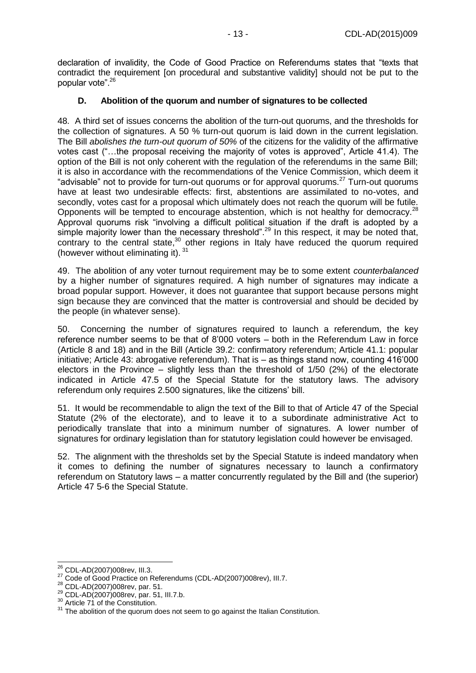declaration of invalidity, the Code of Good Practice on Referendums states that "texts that contradict the requirement [on procedural and substantive validity] should not be put to the popular vote".<sup>26</sup>

## <span id="page-12-0"></span>**D. Abolition of the quorum and number of signatures to be collected**

48. A third set of issues concerns the abolition of the turn-out quorums, and the thresholds for the collection of signatures. A 50 % turn-out quorum is laid down in the current legislation. The Bill *abolishes the turn-out quorum of 50%* of the citizens for the validity of the affirmative votes cast ("…the proposal receiving the majority of votes is approved", Article 41.4). The option of the Bill is not only coherent with the regulation of the referendums in the same Bill; it is also in accordance with the recommendations of the Venice Commission, which deem it "advisable" not to provide for turn-out quorums or for approval quorums.<sup>27</sup> Turn-out quorums have at least two undesirable effects: first, abstentions are assimilated to no-votes, and secondly, votes cast for a proposal which ultimately does not reach the quorum will be futile. Opponents will be tempted to encourage abstention, which is not healthy for democracy.<sup>28</sup> Approval quorums risk "involving a difficult political situation if the draft is adopted by a simple majority lower than the necessary threshold".<sup>29</sup> In this respect, it may be noted that, contrary to the central state, $30$  other regions in Italy have reduced the quorum required (however without eliminating it). 31

49. The abolition of any voter turnout requirement may be to some extent *counterbalanced* by a higher number of signatures required. A high number of signatures may indicate a broad popular support. However, it does not guarantee that support because persons might sign because they are convinced that the matter is controversial and should be decided by the people (in whatever sense).

50. Concerning the number of signatures required to launch a referendum, the key reference number seems to be that of 8'000 voters – both in the Referendum Law in force (Article 8 and 18) and in the Bill (Article 39.2: confirmatory referendum; Article 41.1: popular initiative; Article 43: abrogative referendum). That is – as things stand now, counting 416'000 electors in the Province – slightly less than the threshold of 1/50 (2%) of the electorate indicated in Article 47.5 of the Special Statute for the statutory laws. The advisory referendum only requires 2.500 signatures, like the citizens' bill.

51. It would be recommendable to align the text of the Bill to that of Article 47 of the Special Statute (2% of the electorate), and to leave it to a subordinate administrative Act to periodically translate that into a minimum number of signatures. A lower number of signatures for ordinary legislation than for statutory legislation could however be envisaged.

52. The alignment with the thresholds set by the Special Statute is indeed mandatory when it comes to defining the number of signatures necessary to launch a confirmatory referendum on Statutory laws – a matter concurrently regulated by the Bill and (the superior) Article 47 5-6 the Special Statute.

<sup>-</sup><sup>26</sup> CDL-AD(2007)008rev, III.3.

<sup>27</sup> Code of Good Practice on Referendums (CDL-AD(2007)008rev), III.7.

<sup>28</sup> CDL-AD(2007)008rev, par. 51.

<sup>29</sup> CDL-AD(2007)008rev, par. 51, III.7.b.

 $30$  Article 71 of the Constitution.

<sup>&</sup>lt;sup>31</sup> The abolition of the quorum does not seem to go against the Italian Constitution.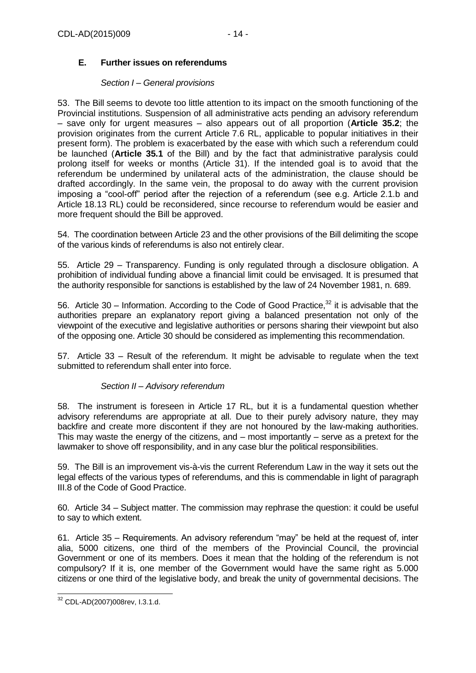## <span id="page-13-0"></span>**E. Further issues on referendums**

#### *Section I – General provisions*

<span id="page-13-1"></span>53. The Bill seems to devote too little attention to its impact on the smooth functioning of the Provincial institutions. Suspension of all administrative acts pending an advisory referendum – save only for urgent measures – also appears out of all proportion (**Article 35.2**; the provision originates from the current Article 7.6 RL, applicable to popular initiatives in their present form). The problem is exacerbated by the ease with which such a referendum could be launched (**Article 35.1** of the Bill) and by the fact that administrative paralysis could prolong itself for weeks or months (Article 31). If the intended goal is to avoid that the referendum be undermined by unilateral acts of the administration, the clause should be drafted accordingly. In the same vein, the proposal to do away with the current provision imposing a "cool-off" period after the rejection of a referendum (see e.g. Article 2.1.b and Article 18.13 RL) could be reconsidered, since recourse to referendum would be easier and more frequent should the Bill be approved.

54. The coordination between Article 23 and the other provisions of the Bill delimiting the scope of the various kinds of referendums is also not entirely clear.

55. Article 29 – Transparency. Funding is only regulated through a disclosure obligation. A prohibition of individual funding above a financial limit could be envisaged. It is presumed that the authority responsible for sanctions is established by the law of 24 November 1981, n. 689.

56. Article 30 – Information. According to the Code of Good Practice,<sup>32</sup> it is advisable that the authorities prepare an explanatory report giving a balanced presentation not only of the viewpoint of the executive and legislative authorities or persons sharing their viewpoint but also of the opposing one. Article 30 should be considered as implementing this recommendation.

57. Article 33 – Result of the referendum. It might be advisable to regulate when the text submitted to referendum shall enter into force.

## *Section II – Advisory referendum*

<span id="page-13-2"></span>58. The instrument is foreseen in Article 17 RL, but it is a fundamental question whether advisory referendums are appropriate at all. Due to their purely advisory nature, they may backfire and create more discontent if they are not honoured by the law-making authorities. This may waste the energy of the citizens, and – most importantly – serve as a pretext for the lawmaker to shove off responsibility, and in any case blur the political responsibilities.

59. The Bill is an improvement vis-à-vis the current Referendum Law in the way it sets out the legal effects of the various types of referendums, and this is commendable in light of paragraph III.8 of the Code of Good Practice.

60. Article 34 – Subject matter. The commission may rephrase the question: it could be useful to say to which extent.

61. Article 35 – Requirements. An advisory referendum "may" be held at the request of, inter alia, 5000 citizens, one third of the members of the Provincial Council, the provincial Government or one of its members. Does it mean that the holding of the referendum is not compulsory? If it is, one member of the Government would have the same right as 5.000 citizens or one third of the legislative body, and break the unity of governmental decisions. The

<sup>-</sup><sup>32</sup> CDL-AD(2007)008rev, I.3.1.d.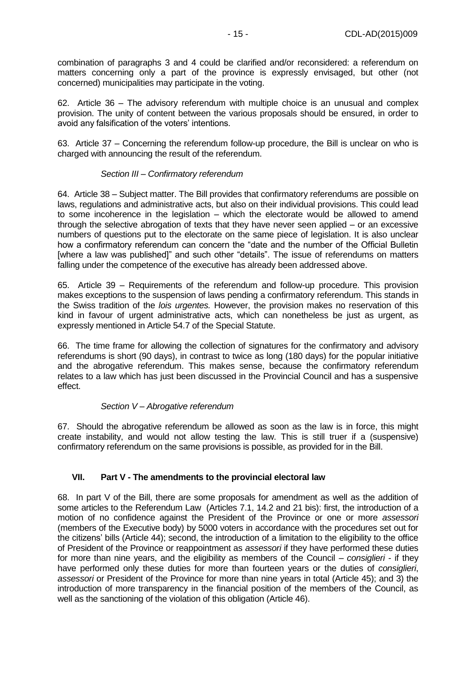combination of paragraphs 3 and 4 could be clarified and/or reconsidered: a referendum on matters concerning only a part of the province is expressly envisaged, but other (not concerned) municipalities may participate in the voting.

62. Article 36 – The advisory referendum with multiple choice is an unusual and complex provision. The unity of content between the various proposals should be ensured, in order to avoid any falsification of the voters' intentions.

63. Article 37 – Concerning the referendum follow-up procedure, the Bill is unclear on who is charged with announcing the result of the referendum.

## *Section III – Confirmatory referendum*

<span id="page-14-0"></span>64. Article 38 – Subject matter. The Bill provides that confirmatory referendums are possible on laws, regulations and administrative acts, but also on their individual provisions. This could lead to some incoherence in the legislation – which the electorate would be allowed to amend through the selective abrogation of texts that they have never seen applied – or an excessive numbers of questions put to the electorate on the same piece of legislation. It is also unclear how a confirmatory referendum can concern the "date and the number of the Official Bulletin [where a law was published]" and such other "details". The issue of referendums on matters falling under the competence of the executive has already been addressed above.

65. Article 39 – Requirements of the referendum and follow-up procedure. This provision makes exceptions to the suspension of laws pending a confirmatory referendum. This stands in the Swiss tradition of the *lois urgentes.* However, the provision makes no reservation of this kind in favour of urgent administrative acts, which can nonetheless be just as urgent, as expressly mentioned in Article 54.7 of the Special Statute.

66. The time frame for allowing the collection of signatures for the confirmatory and advisory referendums is short (90 days), in contrast to twice as long (180 days) for the popular initiative and the abrogative referendum. This makes sense, because the confirmatory referendum relates to a law which has just been discussed in the Provincial Council and has a suspensive effect.

## *Section V – Abrogative referendum*

<span id="page-14-1"></span>67. Should the abrogative referendum be allowed as soon as the law is in force, this might create instability, and would not allow testing the law. This is still truer if a (suspensive) confirmatory referendum on the same provisions is possible, as provided for in the Bill.

## <span id="page-14-2"></span>**VII. Part V - The amendments to the provincial electoral law**

68. In part V of the Bill, there are some proposals for amendment as well as the addition of some articles to the Referendum Law (Articles 7.1, 14.2 and 21 bis): first, the introduction of a motion of no confidence against the President of the Province or one or more *assessori* (members of the Executive body) by 5000 voters in accordance with the procedures set out for the citizens' bills (Article 44); second, the introduction of a limitation to the eligibility to the office of President of the Province or reappointment as *assessori* if they have performed these duties for more than nine years, and the eligibility as members of the Council – *consiglieri* - if they have performed only these duties for more than fourteen years or the duties of *consiglieri*, *assessori* or President of the Province for more than nine years in total (Article 45); and 3) the introduction of more transparency in the financial position of the members of the Council, as well as the sanctioning of the violation of this obligation (Article 46).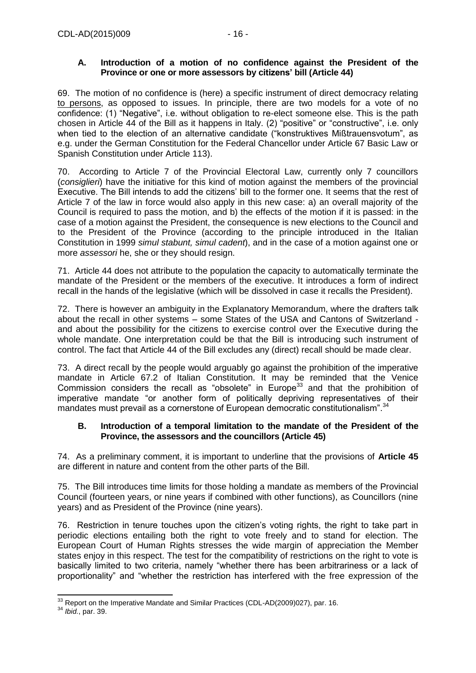## <span id="page-15-0"></span>**A. Introduction of a motion of no confidence against the President of the Province or one or more assessors by citizens' bill (Article 44)**

69. The motion of no confidence is (here) a specific instrument of direct democracy relating to persons, as opposed to issues. In principle, there are two models for a vote of no confidence: (1) "Negative", i.e. without obligation to re-elect someone else. This is the path chosen in Article 44 of the Bill as it happens in Italy. (2) "positive" or "constructive", i.e. only when tied to the election of an alternative candidate ("konstruktives Mißtrauensvotum", as e.g. under the German Constitution for the Federal Chancellor under Article 67 Basic Law or Spanish Constitution under Article 113).

70. According to Article 7 of the Provincial Electoral Law, currently only 7 councillors (*consiglieri*) have the initiative for this kind of motion against the members of the provincial Executive. The Bill intends to add the citizens' bill to the former one. It seems that the rest of Article 7 of the law in force would also apply in this new case: a) an overall majority of the Council is required to pass the motion, and b) the effects of the motion if it is passed: in the case of a motion against the President, the consequence is new elections to the Council and to the President of the Province (according to the principle introduced in the Italian Constitution in 1999 *simul stabunt, simul cadent*), and in the case of a motion against one or more *assessori* he, she or they should resign.

71. Article 44 does not attribute to the population the capacity to automatically terminate the mandate of the President or the members of the executive. It introduces a form of indirect recall in the hands of the legislative (which will be dissolved in case it recalls the President).

72. There is however an ambiguity in the Explanatory Memorandum, where the drafters talk about the recall in other systems – some States of the USA and Cantons of Switzerland and about the possibility for the citizens to exercise control over the Executive during the whole mandate. One interpretation could be that the Bill is introducing such instrument of control. The fact that Article 44 of the Bill excludes any (direct) recall should be made clear.

73. A direct recall by the people would arguably go against the prohibition of the imperative mandate in Article 67.2 of Italian Constitution. It may be reminded that the Venice Commission considers the recall as "obsolete" in Europe<sup>33</sup> and that the prohibition of imperative mandate "or another form of politically depriving representatives of their mandates must prevail as a cornerstone of European democratic constitutionalism".<sup>34</sup>

## <span id="page-15-1"></span>**B. Introduction of a temporal limitation to the mandate of the President of the Province, the assessors and the councillors (Article 45)**

74. As a preliminary comment, it is important to underline that the provisions of **Article 45** are different in nature and content from the other parts of the Bill.

75. The Bill introduces time limits for those holding a mandate as members of the Provincial Council (fourteen years, or nine years if combined with other functions), as Councillors (nine years) and as President of the Province (nine years).

76. Restriction in tenure touches upon the citizen's voting rights, the right to take part in periodic elections entailing both the right to vote freely and to stand for election. The European Court of Human Rights stresses the wide margin of appreciation the Member states enjoy in this respect. The test for the compatibility of restrictions on the right to vote is basically limited to two criteria, namely "whether there has been arbitrariness or a lack of proportionality" and "whether the restriction has interfered with the free expression of the

 $\overline{a}$  $33$  Report on the Imperative Mandate and Similar Practices (CDL-AD(2009)027), par. 16.

<sup>34</sup> *Ibid.*, par. 39.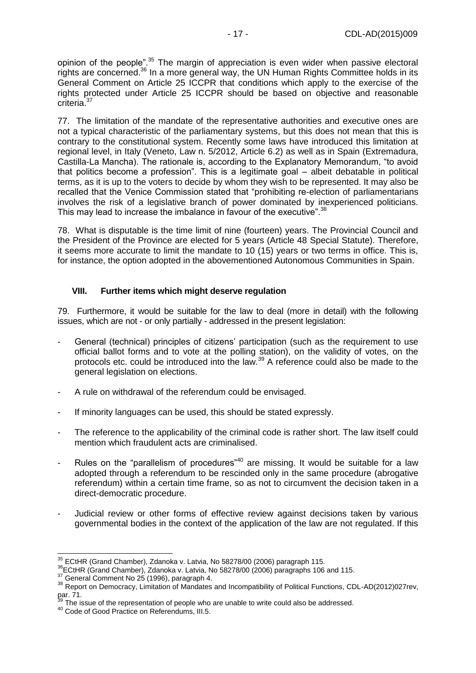opinion of the people".<sup>35</sup> The margin of appreciation is even wider when passive electoral rights are concerned.<sup>36</sup> In a more general way, the UN Human Rights Committee holds in its General Comment on Article 25 ICCPR that conditions which apply to the exercise of the rights protected under Article 25 ICCPR should be based on objective and reasonable criteria<sup>37</sup>

77. The limitation of the mandate of the representative authorities and executive ones are not a typical characteristic of the parliamentary systems, but this does not mean that this is contrary to the constitutional system. Recently some laws have introduced this limitation at regional level, in Italy (Veneto, Law n. 5/2012, Article 6.2) as well as in Spain (Extremadura, Castilla-La Mancha). The rationale is, according to the Explanatory Memorandum, "to avoid that politics become a profession". This is a legitimate goal – albeit debatable in political terms, as it is up to the voters to decide by whom they wish to be represented. It may also be recalled that the Venice Commission stated that "prohibiting re-election of parliamentarians involves the risk of a legislative branch of power dominated by inexperienced politicians. This may lead to increase the imbalance in favour of the executive".<sup>38</sup>

78. What is disputable is the time limit of nine (fourteen) years. The Provincial Council and the President of the Province are elected for 5 years (Article 48 Special Statute). Therefore, it seems more accurate to limit the mandate to 10 (15) years or two terms in office. This is, for instance, the option adopted in the abovementioned Autonomous Communities in Spain.

#### <span id="page-16-0"></span>**VIII. Further items which might deserve regulation**

79. Furthermore, it would be suitable for the law to deal (more in detail) with the following issues, which are not - or only partially - addressed in the present legislation:

- General (technical) principles of citizens' participation (such as the requirement to use official ballot forms and to vote at the polling station), on the validity of votes, on the protocols etc. could be introduced into the law.<sup>39</sup> A reference could also be made to the general legislation on elections.
- A rule on withdrawal of the referendum could be envisaged.
- If minority languages can be used, this should be stated expressly.
- The reference to the applicability of the criminal code is rather short. The law itself could mention which fraudulent acts are criminalised.
- Rules on the "parallelism of procedures"<sup>40</sup> are missing. It would be suitable for a law adopted through a referendum to be rescinded only in the same procedure (abrogative referendum) within a certain time frame, so as not to circumvent the decision taken in a direct-democratic procedure.
- Judicial review or other forms of effective review against decisions taken by various governmental bodies in the context of the application of the law are not regulated. If this

 $\overline{a}$ 

 $35$  ECtHR (Grand Chamber), Zdanoka v. Latvia, No 58278/00 (2006) paragraph 115.

<sup>36</sup>ECtHR (Grand Chamber), Zdanoka v. Latvia, No 58278/00 (2006) paragraphs 106 and 115.

 $37$  General Comment No 25 (1996), paragraph 4.

<sup>38</sup> Report on Democracy, Limitation of Mandates and Incompatibility of Political Functions, CDL-AD(2012)027rev, par. 71.

The issue of the representation of people who are unable to write could also be addressed.

<sup>40</sup> Code of Good Practice on Referendums, III.5.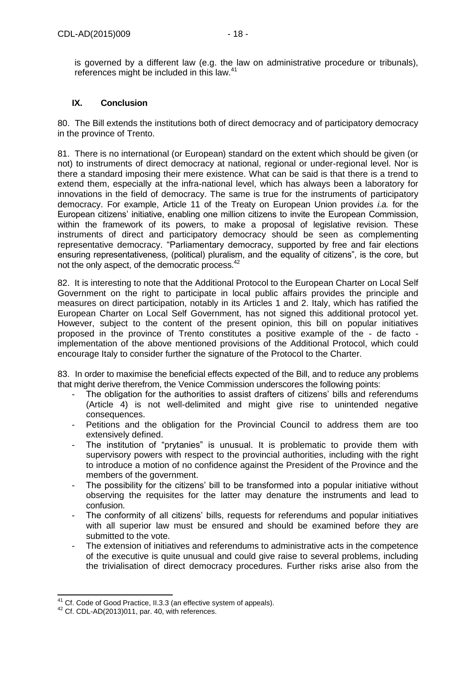is governed by a different law (e.g. the law on administrative procedure or tribunals), references might be included in this law.<sup>41</sup>

## <span id="page-17-0"></span>**IX. Conclusion**

80. The Bill extends the institutions both of direct democracy and of participatory democracy in the province of Trento.

81. There is no international (or European) standard on the extent which should be given (or not) to instruments of direct democracy at national, regional or under-regional level. Nor is there a standard imposing their mere existence. What can be said is that there is a trend to extend them, especially at the infra-national level, which has always been a laboratory for innovations in the field of democracy. The same is true for the instruments of participatory democracy. For example, Article 11 of the Treaty on European Union provides *i.a.* for the European citizens' initiative, enabling one million citizens to invite the European Commission, within the framework of its powers, to make a proposal of legislative revision. These instruments of direct and participatory democracy should be seen as complementing representative democracy. "Parliamentary democracy, supported by free and fair elections ensuring representativeness, (political) pluralism, and the equality of citizens", is the core, but not the only aspect, of the democratic process.<sup>42</sup>

82. It is interesting to note that the Additional Protocol to the European Charter on Local Self Government on the right to participate in local public affairs provides the principle and measures on direct participation, notably in its Articles 1 and 2. Italy, which has ratified the European Charter on Local Self Government, has not signed this additional protocol yet. However, subject to the content of the present opinion, this bill on popular initiatives proposed in the province of Trento constitutes a positive example of the - de facto implementation of the above mentioned provisions of the Additional Protocol, which could encourage Italy to consider further the signature of the Protocol to the Charter.

83. In order to maximise the beneficial effects expected of the Bill, and to reduce any problems that might derive therefrom, the Venice Commission underscores the following points:

- The obligation for the authorities to assist drafters of citizens' bills and referendums (Article 4) is not well-delimited and might give rise to unintended negative consequences.
- Petitions and the obligation for the Provincial Council to address them are too extensively defined.
- The institution of "prytanies" is unusual. It is problematic to provide them with supervisory powers with respect to the provincial authorities, including with the right to introduce a motion of no confidence against the President of the Province and the members of the government.
- The possibility for the citizens' bill to be transformed into a popular initiative without observing the requisites for the latter may denature the instruments and lead to confusion.
- The conformity of all citizens' bills, requests for referendums and popular initiatives with all superior law must be ensured and should be examined before they are submitted to the vote.
- The extension of initiatives and referendums to administrative acts in the competence of the executive is quite unusual and could give raise to several problems, including the trivialisation of direct democracy procedures. Further risks arise also from the

 $\overline{a}$ 

<sup>&</sup>lt;sup>41</sup> Cf. Code of Good Practice, II.3.3 (an effective system of appeals).

<sup>42</sup> Cf. CDL-AD(2013)011, par. 40, with references.